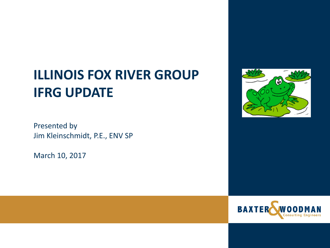# **ILLINOIS FOX RIVER GROUP IFRG UPDATE**

Presented by Jim Kleinschmidt, P.E., ENV SP

March 10, 2017



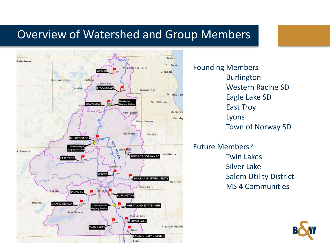## Overview of Watershed and Group Members



Founding Members Burlington Western Racine SD Eagle Lake SD East Troy Lyons Town of Norway SD

Future Members? Twin Lakes Silver Lake Salem Utility District MS 4 Communities

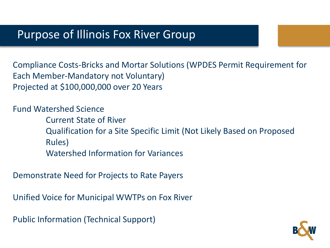#### Purpose of Illinois Fox River Group

Compliance Costs-Bricks and Mortar Solutions (WPDES Permit Requirement for Each Member-Mandatory not Voluntary) Projected at \$100,000,000 over 20 Years

Fund Watershed Science Current State of River Qualification for a Site Specific Limit (Not Likely Based on Proposed Rules) Watershed Information for Variances

Demonstrate Need for Projects to Rate Payers

Unified Voice for Municipal WWTPs on Fox River

Public Information (Technical Support)

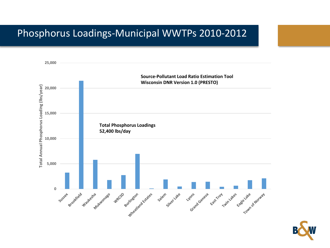#### Phosphorus Loadings-Municipal WWTPs 2010-2012



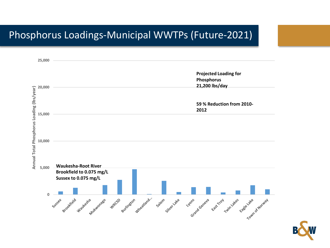#### Phosphorus Loadings-Municipal WWTPs (Future-2021)



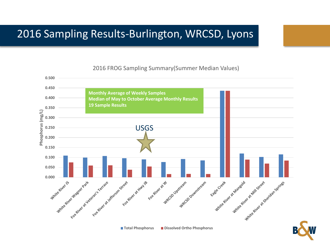# 2016 Sampling Results-Burlington, WRCSD, Lyons



#### 2016 FROG Sampling Summary(Summer Median Values)

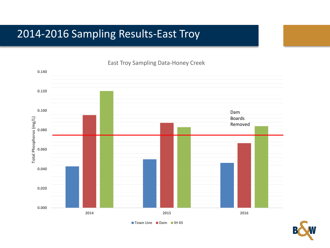# 2014-2016 Sampling Results-East Troy



#### East Troy Sampling Data-Honey Creek

**Town Line Dam IH 43**

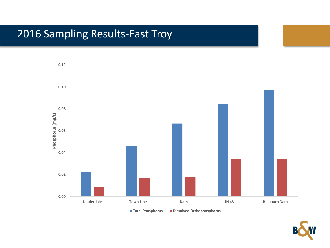# 2016 Sampling Results-East Troy



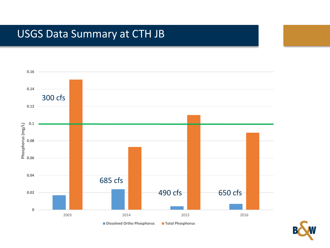# USGS Data Summary at CTH JB



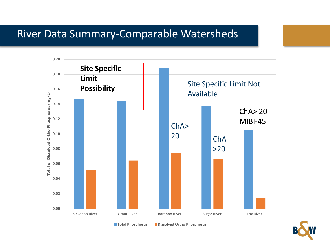#### River Data Summary-Comparable Watersheds



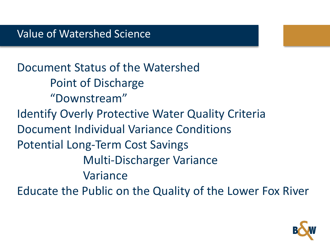Document Status of the Watershed Point of Discharge "Downstream" Identify Overly Protective Water Quality Criteria Document Individual Variance Conditions Potential Long-Term Cost Savings Multi-Discharger Variance Variance Educate the Public on the Quality of the Lower Fox River

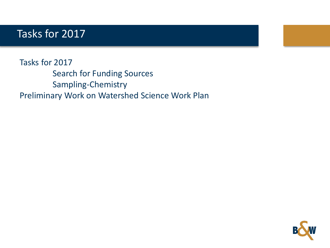### Tasks for 2017

Tasks for 2017 Search for Funding Sources Sampling-Chemistry Preliminary Work on Watershed Science Work Plan